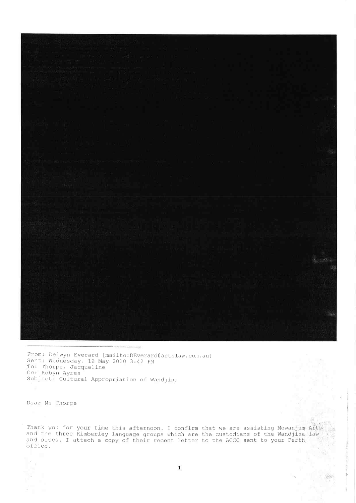

From: Delwyn Everard [mailto:DEverard@artslaw.com.au] Sent: Wednesday, 12 May 2010 3:42 PM To: Thorpe, Jacqueline Cc: Robyn Ayres<br>Subject: Cultural Appropriation of Wandjina

Dear Ms Thorpe

Thank you for your time this afternoon. I confirm that we are assisting Mowanjum Arts and the three Kimberley language groups which are the custodians of the Wandjina law and sites. I attach a copy of their recent letter to the ACCC sent to your Perth office.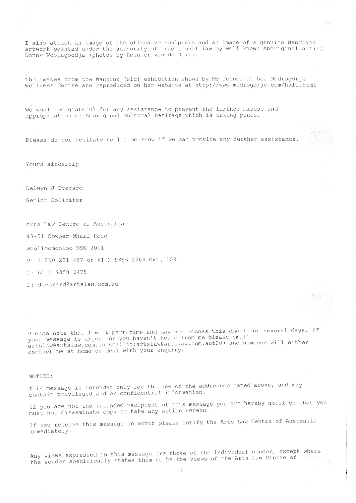I also attach an image of the offensive sculpture and an image of a genuine Wandjina artwork painted under the authority of traditional law by well known Aboriginal artist Donny Woolagoodja (photos by Reinier van de Ruit).

īбe

The images from the Wanjina (sic) exhibition shown by Ms Tenodi at her Modrogorje Wellness Centre are reproduced on her website at http://www.modrogorje.com/hall.html

We would be grateful for any assistance to prevent the further misuse and appropriation of Aboriginal cultural heritage which is taking place.

Please do not hesitate to let me know if we can provide any further assistance.

Yours sincerely

Delwyn J Everard

Senior Solicitor

Arts Law Centre of Australia

43-51 Cowper Wharf Road

Woolloomooloo NSW 2011

P: 1 800 221 457 or 61 2 9356 2566 Ext. 109

F: 61 2 9358 6475

E: deverard@artslaw.com.au

Please note that I work part-time and may not access this email for several days. If your message is urgent or you haven't heard from me please email artslaw@artslaw.com.au <mailto:artslaw@artslaw.com.au%20> and someone will either contact me at home or deal with your enquiry.

## NOTICE:

This message is intended only for the use of the addressee named above, and may contain privileged and or confidential information.

If you are not the intended recipient of this message you are hereby notified that you must not disseminate copy or take any action hereon.

If you receive this message in error please notify the Arts Law Centre of Australia immediately.

Any views expressed in this message are those of the individual sender, except where the sender specifically states them to be the views of the Arts Law Centre of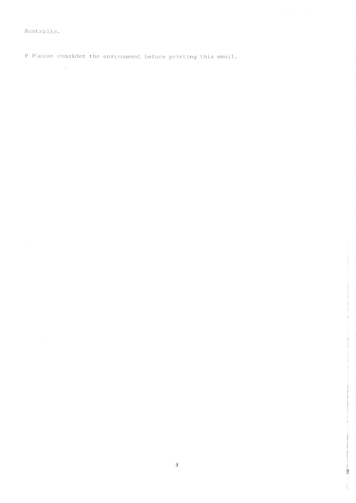Australia.

 $\widehat{\mathcal{A}}$  , and  $\widehat{\mathcal{A}}$ 

P Please consider the environment before printing this email.

š

İ.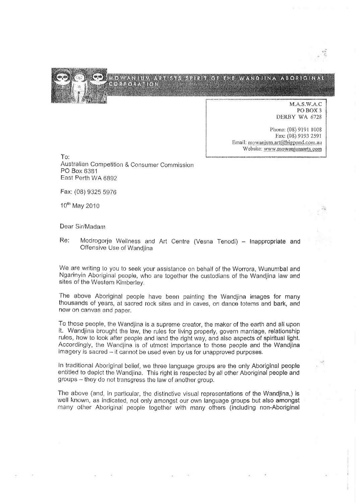

M.A.S.W.A.C PO BOX 3 DERBY WA 6728

Phone: (08) 9191 1008 Fax: (08) 9193 2591 Email: mowanjum.art@bigpond.com.au Website: www.mowanjumarts.com

 $To:$ Australian Competition & Consumer Commission PO Box 6381 East Perth WA 6892

Fax: (08) 9325 5976

10<sup>th</sup> May 2010

Dear Sir/Madam

Re: Modrogorje Wellness and Art Centre (Vesna Tenodi) - Inappropriate and Offensive Use of Wandiina

We are writing to you to seek your assistance on behalf of the Worrora, Wunumbal and Ngarinyin Aboriginal people, who are together the custodians of the Wandjina law and sites of the Western Kimberley.

The above Aboriginal people have been painting the Wandjina images for many thousands of years, at sacred rock sites and in caves, on dance totems and bark, and now on canvas and paper.

To those people, the Wandjina is a supreme creator, the maker of the earth and all upon it. Wandjina brought the law, the rules for living properly, govern marriage, relationship rules, how to look after people and land the right way, and also aspects of spiritual light. Accordingly, the Wandjina is of utmost importance to those people and the Wandjina imagery is sacred - it cannot be used even by us for unapproved purposes.

In traditional Aboriginal belief, we three language groups are the only Aboriginal people entitled to depict the Wandjina. This right is respected by all other Aboriginal people and groups -- they do not transgress the law of another group.

The above (and, in particular, the distinctive visual representations of the Wandjina,) is well known, as indicated, not only amongst our own language groups but also amongst many other Aboriginal people together with many others (including non-Aboriginal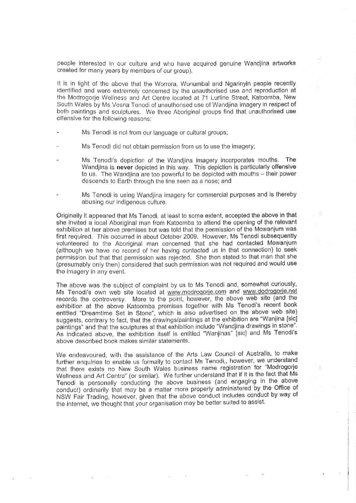people interested in our culture and who have acquired genuine Wandjina artworks created for many years by members of our group).

It is in light of the above that the Worrora, Wununrbal and Ngarinyin people recently identifiecl and were extremely concerned by the unauthorísed use and reproduction at the Modrogorje Wellness and Art Centre located at 71 Lurline Street, Katoomba, New South Wales by Ms Vesna Tenodi of unauthorised use of Wandjina imagery in respect of both paintings and sculptures. We three Aboriginal groups find that unauthorised use offensive for the following reasons:

- Ms Tenodi is not from our language or cultural groups;
- Ms Tenodi did not obtain permission from us to use the imagery;
- Ms Tenodi's depiction of the Wandjina imagery incorporates mouths. The Wandjina is never depicted in this way. This depiction is particularly offensive to us. The Wandjina are too powerful to be depicted with mouths - their power descends to Earth through the line seen as a nose; and
- Ms Tenodi is using Wandjina imagery for commercial purposes and is thereby abusing our indigenous culture.

Originally it appeared that Ms Tenodi, at least to some extent, accepted the above in that she invited a local Aboriginal man from Katoomba to attend the opening of the relevant exhibition at her above premises but was told that the permission of the Mowanjum was first required. This occurred in about October 2009. However, Ms Tenodi subsequently volunteered to the Aboriginal man concerned that she had contacted Mowanjum (although we have no record of her having contacted us in that connection) to seek permission but that that permission was rejected. She then stated to that man that she (presumably only then) considered that such permission was not required and would use the imagery in any event.

The above was the subject of complaint by us to Ms Tenodi and, somewhat curiously, Ms Tenodi's own web site located at www.modrogorie.com and www.dodrogorie.net records the controversy. More to the point, however, the above web site (and the exhibition at the above Katoomba premises together with Ms Tenodi's recent book entitled "Dreamtime Set in Stone", which is also advertised on the above web site) suggests, contrary to fact, that the drawings/paintings at the exhibition are "Wanjina [sic] paintings" and that the sculptures at that exhibition include "Wandjina drawings in stone"' As indicated above, the exhibition itself is entitled "Wanjinas" [sic] and Ms Tenodi's above described book makes similar statements.

We endeavoured, with the assistance of the Arts Law Council of Australia, to make further enquiries to enable us formally to contact Ms Tenodi,, however, we understand that there exists no New South Wáles business name registration for "Modrogorje Wellness and Art Centre" (or sinrilar), We further undersiand that if it is the fact that Ms Tenodi is personally conducting the above business (and engaging in the above conduct) ordinarily that may be a matter more properly administered by the Office of NSW Fair Trading, however, given that the above conduct includes conduct by way of the internet, we thought that your organisation may be better suited to assist.